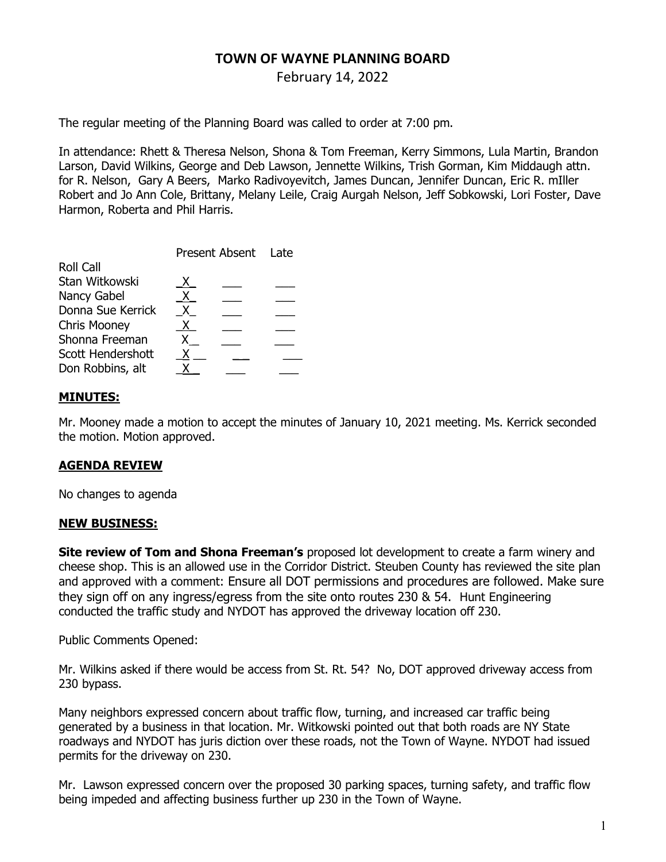# TOWN OF WAYNE PLANNING BOARD

February 14, 2022

The regular meeting of the Planning Board was called to order at 7:00 pm.

In attendance: Rhett & Theresa Nelson, Shona & Tom Freeman, Kerry Simmons, Lula Martin, Brandon Larson, David Wilkins, George and Deb Lawson, Jennette Wilkins, Trish Gorman, Kim Middaugh attn. for R. Nelson, Gary A Beers, Marko Radivoyevitch, James Duncan, Jennifer Duncan, Eric R. mIller Robert and Jo Ann Cole, Brittany, Melany Leile, Craig Aurgah Nelson, Jeff Sobkowski, Lori Foster, Dave Harmon, Roberta and Phil Harris.

|                     | Present Absent Late |  |  |
|---------------------|---------------------|--|--|
| <b>Roll Call</b>    |                     |  |  |
| Stan Witkowski      | X.                  |  |  |
| Nancy Gabel         | X.                  |  |  |
| Donna Sue Kerrick   | X.                  |  |  |
| <b>Chris Mooney</b> | X.                  |  |  |
| Shonna Freeman      |                     |  |  |
| Scott Hendershott   | х                   |  |  |
| Don Robbins, alt    |                     |  |  |

### MINUTES:

Mr. Mooney made a motion to accept the minutes of January 10, 2021 meeting. Ms. Kerrick seconded the motion. Motion approved.

#### AGENDA REVIEW

No changes to agenda

#### NEW BUSINESS:

**Site review of Tom and Shona Freeman's** proposed lot development to create a farm winery and cheese shop. This is an allowed use in the Corridor District. Steuben County has reviewed the site plan and approved with a comment: Ensure all DOT permissions and procedures are followed. Make sure they sign off on any ingress/egress from the site onto routes 230 & 54. Hunt Engineering conducted the traffic study and NYDOT has approved the driveway location off 230.

Public Comments Opened:

Mr. Wilkins asked if there would be access from St. Rt. 54? No, DOT approved driveway access from 230 bypass.

Many neighbors expressed concern about traffic flow, turning, and increased car traffic being generated by a business in that location. Mr. Witkowski pointed out that both roads are NY State roadways and NYDOT has juris diction over these roads, not the Town of Wayne. NYDOT had issued permits for the driveway on 230.

Mr. Lawson expressed concern over the proposed 30 parking spaces, turning safety, and traffic flow being impeded and affecting business further up 230 in the Town of Wayne.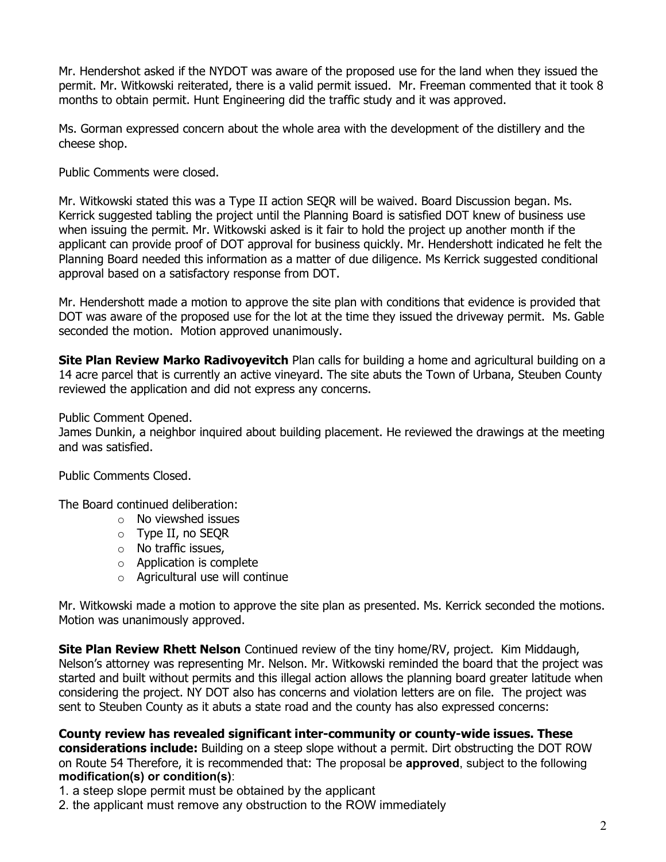Mr. Hendershot asked if the NYDOT was aware of the proposed use for the land when they issued the permit. Mr. Witkowski reiterated, there is a valid permit issued. Mr. Freeman commented that it took 8 months to obtain permit. Hunt Engineering did the traffic study and it was approved.

Ms. Gorman expressed concern about the whole area with the development of the distillery and the cheese shop.

Public Comments were closed.

Mr. Witkowski stated this was a Type II action SEQR will be waived. Board Discussion began. Ms. Kerrick suggested tabling the project until the Planning Board is satisfied DOT knew of business use when issuing the permit. Mr. Witkowski asked is it fair to hold the project up another month if the applicant can provide proof of DOT approval for business quickly. Mr. Hendershott indicated he felt the Planning Board needed this information as a matter of due diligence. Ms Kerrick suggested conditional approval based on a satisfactory response from DOT.

Mr. Hendershott made a motion to approve the site plan with conditions that evidence is provided that DOT was aware of the proposed use for the lot at the time they issued the driveway permit. Ms. Gable seconded the motion. Motion approved unanimously.

Site Plan Review Marko Radivoyevitch Plan calls for building a home and agricultural building on a 14 acre parcel that is currently an active vineyard. The site abuts the Town of Urbana, Steuben County reviewed the application and did not express any concerns.

Public Comment Opened.

James Dunkin, a neighbor inquired about building placement. He reviewed the drawings at the meeting and was satisfied.

Public Comments Closed.

The Board continued deliberation:

- o No viewshed issues
- o Type II, no SEQR
- o No traffic issues,
- o Application is complete
- o Agricultural use will continue

Mr. Witkowski made a motion to approve the site plan as presented. Ms. Kerrick seconded the motions. Motion was unanimously approved.

**Site Plan Review Rhett Nelson** Continued review of the tiny home/RV, project. Kim Middaugh, Nelson's attorney was representing Mr. Nelson. Mr. Witkowski reminded the board that the project was started and built without permits and this illegal action allows the planning board greater latitude when considering the project. NY DOT also has concerns and violation letters are on file. The project was sent to Steuben County as it abuts a state road and the county has also expressed concerns:

County review has revealed significant inter-community or county-wide issues. These considerations include: Building on a steep slope without a permit. Dirt obstructing the DOT ROW on Route 54 Therefore, it is recommended that: The proposal be approved, subject to the following modification(s) or condition(s):

1. a steep slope permit must be obtained by the applicant

2. the applicant must remove any obstruction to the ROW immediately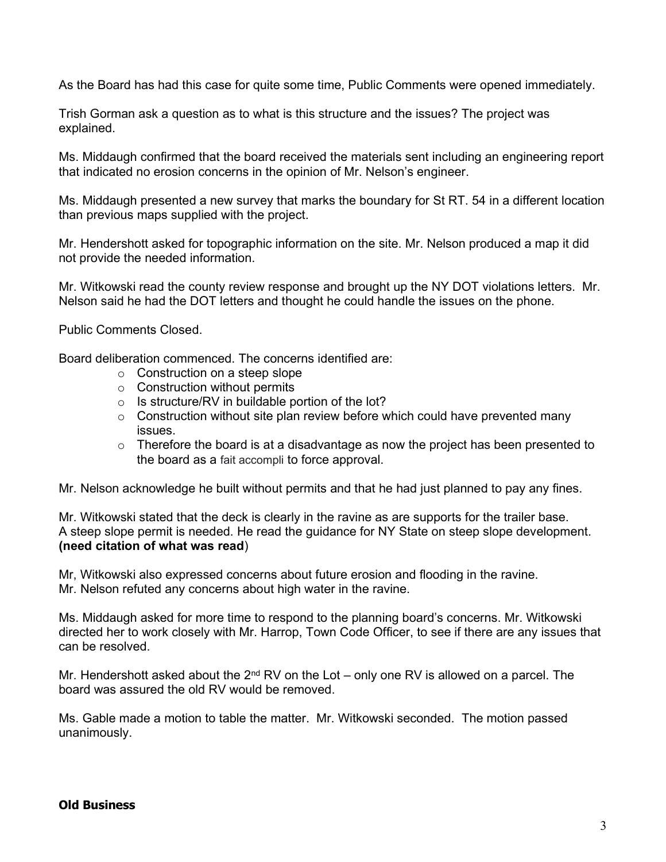As the Board has had this case for quite some time, Public Comments were opened immediately.

Trish Gorman ask a question as to what is this structure and the issues? The project was explained.

Ms. Middaugh confirmed that the board received the materials sent including an engineering report that indicated no erosion concerns in the opinion of Mr. Nelson's engineer.

Ms. Middaugh presented a new survey that marks the boundary for St RT. 54 in a different location than previous maps supplied with the project.

Mr. Hendershott asked for topographic information on the site. Mr. Nelson produced a map it did not provide the needed information.

Mr. Witkowski read the county review response and brought up the NY DOT violations letters. Mr. Nelson said he had the DOT letters and thought he could handle the issues on the phone.

Public Comments Closed.

Board deliberation commenced. The concerns identified are:

- o Construction on a steep slope
- $\circ$  Construction without permits
- $\circ$  Is structure/RV in buildable portion of the lot?
- $\circ$  Construction without site plan review before which could have prevented many issues.
- $\circ$  Therefore the board is at a disadvantage as now the project has been presented to the board as a fait accompli to force approval.

Mr. Nelson acknowledge he built without permits and that he had just planned to pay any fines.

Mr. Witkowski stated that the deck is clearly in the ravine as are supports for the trailer base. A steep slope permit is needed. He read the guidance for NY State on steep slope development. (need citation of what was read)

Mr, Witkowski also expressed concerns about future erosion and flooding in the ravine. Mr. Nelson refuted any concerns about high water in the ravine.

Ms. Middaugh asked for more time to respond to the planning board's concerns. Mr. Witkowski directed her to work closely with Mr. Harrop, Town Code Officer, to see if there are any issues that can be resolved.

Mr. Hendershott asked about the  $2^{nd}$  RV on the Lot – only one RV is allowed on a parcel. The board was assured the old RV would be removed.

Ms. Gable made a motion to table the matter. Mr. Witkowski seconded. The motion passed unanimously.